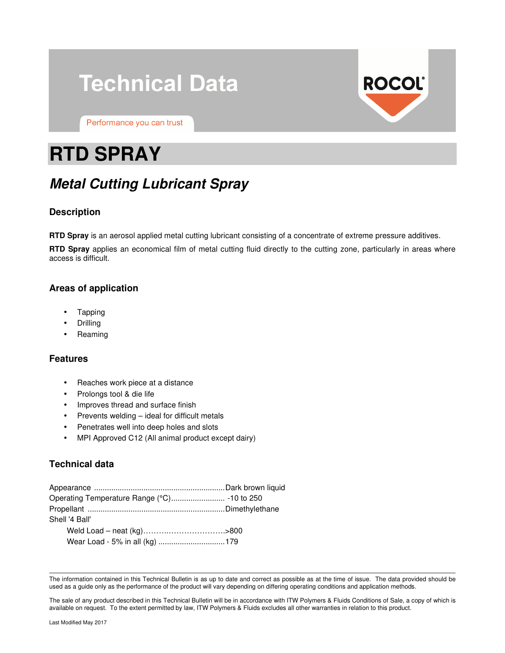# **Technical Data**



Performance you can trust

# **RTD SPRAY**

# **Metal Cutting Lubricant Spray**

# **Description**

**RTD Spray** is an aerosol applied metal cutting lubricant consisting of a concentrate of extreme pressure additives.

**RTD Spray** applies an economical film of metal cutting fluid directly to the cutting zone, particularly in areas where access is difficult.

# **Areas of application**

- Tapping
- **Drilling**
- Reaming

### **Features**

- Reaches work piece at a distance
- Prolongs tool & die life
- Improves thread and surface finish
- Prevents welding ideal for difficult metals
- Penetrates well into deep holes and slots
- MPI Approved C12 (All animal product except dairy)

# **Technical data**

| Shell '4 Ball'                 |  |
|--------------------------------|--|
|                                |  |
| Wear Load - 5% in all (kg) 179 |  |

The information contained in this Technical Bulletin is as up to date and correct as possible as at the time of issue. The data provided should be used as a guide only as the performance of the product will vary depending on differing operating conditions and application methods.

The sale of any product described in this Technical Bulletin will be in accordance with ITW Polymers & Fluids Conditions of Sale, a copy of which is available on request. To the extent permitted by law, ITW Polymers & Fluids excludes all other warranties in relation to this product.